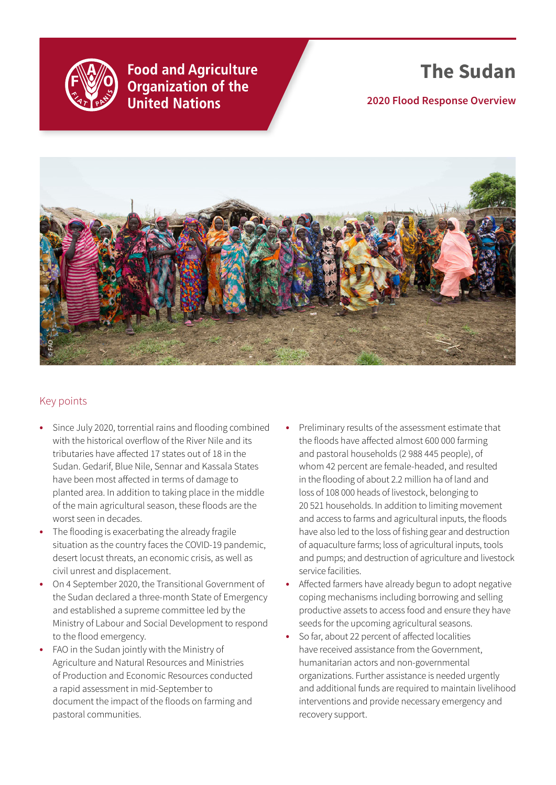

**Food and Agriculture Organization of the United Nations** 

# **The Sudan**

**2020 Flood Response Overview**



#### Key points

- **•** Since July 2020, torrential rains and flooding combined with the historical overflow of the River Nile and its tributaries have affected 17 states out of 18 in the Sudan. Gedarif, Blue Nile, Sennar and Kassala States have been most affected in terms of damage to planted area. In addition to taking place in the middle of the main agricultural season, these floods are the worst seen in decades.
- **•** The flooding is exacerbating the already fragile situation as the country faces the COVID-19 pandemic, desert locust threats, an economic crisis, as well as civil unrest and displacement.
- **•** On 4 September 2020, the Transitional Government of the Sudan declared a three-month State of Emergency and established a supreme committee led by the Ministry of Labour and Social Development to respond to the flood emergency.
- **•** FAO in the Sudan jointly with the Ministry of Agriculture and Natural Resources and Ministries of Production and Economic Resources conducted a rapid assessment in mid-September to document the impact of the floods on farming and pastoral communities.
- **•** Preliminary results of the assessment estimate that the floods have affected almost 600 000 farming and pastoral households (2 988 445 people), of whom 42 percent are female-headed, and resulted in the flooding of about 2.2 million ha of land and loss of 108 000 heads of livestock, belonging to 20 521 households. In addition to limiting movement and access to farms and agricultural inputs, the floods have also led to the loss of fishing gear and destruction of aquaculture farms; loss of agricultural inputs, tools and pumps; and destruction of agriculture and livestock service facilities.
- **•** Affected farmers have already begun to adopt negative coping mechanisms including borrowing and selling productive assets to access food and ensure they have seeds for the upcoming agricultural seasons.
- **•** So far, about 22 percent of affected localities have received assistance from the Government, humanitarian actors and non-governmental organizations. Further assistance is needed urgently and additional funds are required to maintain livelihood interventions and provide necessary emergency and recovery support.